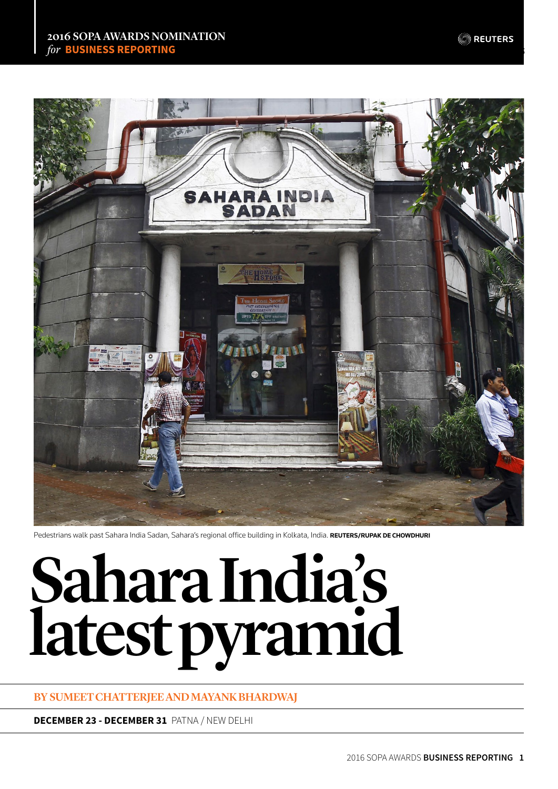

Pedestrians walk past Sahara India Sadan, Sahara's regional office building in Kolkata, India. **REUTERS/RUPAK DE CHOWDHURI**

# Sahara India's latest pyramid

#### BY SUMEET CHATTERJEE AND MAYANK BHARDWAJ

**DECEMBER 23 - DECEMBER 31** PATNA / NEW DELHI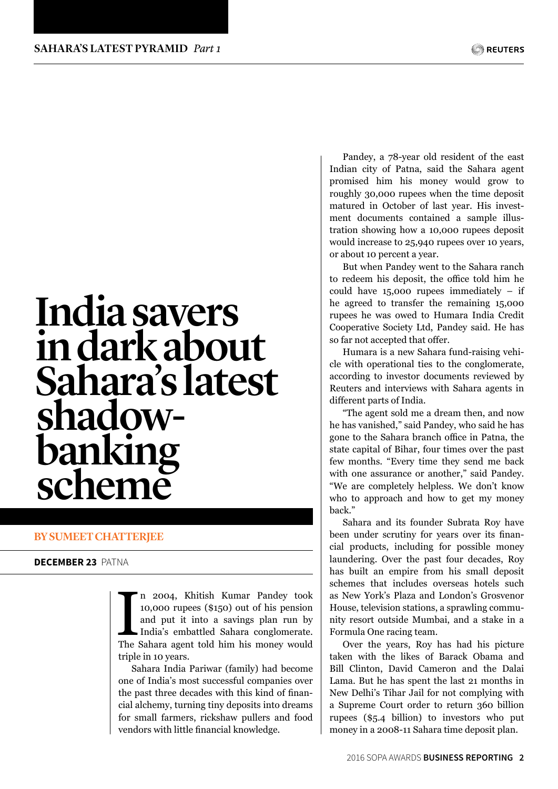# India savers in dark about Sahara's latest shadowbanking scheme

#### BY SUMEET CHATTERJEE

**DECEMBER 23** PATNA

In 2004, Khitish Kumar Pandey took<br>10,000 rupees (\$150) out of his pension<br>and put it into a savings plan run by<br>India's embattled Sahara conglomerate.<br>The Sahara agent told him his money would n 2004, Khitish Kumar Pandey took 10,000 rupees (\$150) out of his pension and put it into a savings plan run by India's embattled Sahara conglomerate. triple in 10 years.

Sahara India Pariwar (family) had become one of India's most successful companies over the past three decades with this kind of financial alchemy, turning tiny deposits into dreams for small farmers, rickshaw pullers and food vendors with little financial knowledge.

Pandey, a 78-year old resident of the east Indian city of Patna, said the Sahara agent promised him his money would grow to roughly 30,000 rupees when the time deposit matured in October of last year. His investment documents contained a sample illustration showing how a 10,000 rupees deposit would increase to 25,940 rupees over 10 years, or about 10 percent a year.

But when Pandey went to the Sahara ranch to redeem his deposit, the office told him he could have  $15,000$  rupees immediately – if he agreed to transfer the remaining 15,000 rupees he was owed to Humara India Credit Cooperative Society Ltd, Pandey said. He has so far not accepted that offer.

Humara is a new Sahara fund-raising vehicle with operational ties to the conglomerate, according to investor documents reviewed by Reuters and interviews with Sahara agents in different parts of India.

"The agent sold me a dream then, and now he has vanished," said Pandey, who said he has gone to the Sahara branch office in Patna, the state capital of Bihar, four times over the past few months. "Every time they send me back with one assurance or another," said Pandey. "We are completely helpless. We don't know who to approach and how to get my money back."

Sahara and its founder Subrata Roy have been under scrutiny for years over its financial products, including for possible money laundering. Over the past four decades, Roy has built an empire from his small deposit schemes that includes overseas hotels such as New York's Plaza and London's Grosvenor House, television stations, a sprawling community resort outside Mumbai, and a stake in a Formula One racing team.

Over the years, Roy has had his picture taken with the likes of Barack Obama and Bill Clinton, David Cameron and the Dalai Lama. But he has spent the last 21 months in New Delhi's Tihar Jail for not complying with a Supreme Court order to return 360 billion rupees (\$5.4 billion) to investors who put money in a 2008-11 Sahara time deposit plan.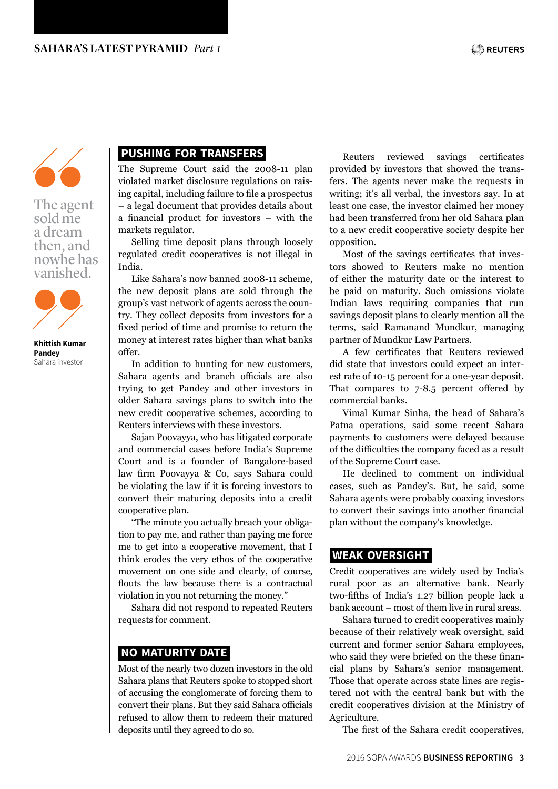

The agent sold me a dream then, and nowhe has vanished.



**Khittish Kumar Pandey** Sahara investor

## **PUSHING FOR TRANSFERS**

The Supreme Court said the 2008-11 plan violated market disclosure regulations on raising capital, including failure to file a prospectus – a legal document that provides details about a financial product for investors – with the markets regulator.

Selling time deposit plans through loosely regulated credit cooperatives is not illegal in India.

Like Sahara's now banned 2008-11 scheme, the new deposit plans are sold through the group's vast network of agents across the country. They collect deposits from investors for a fixed period of time and promise to return the money at interest rates higher than what banks offer.

In addition to hunting for new customers, Sahara agents and branch officials are also trying to get Pandey and other investors in older Sahara savings plans to switch into the new credit cooperative schemes, according to Reuters interviews with these investors.

Sajan Poovayya, who has litigated corporate and commercial cases before India's Supreme Court and is a founder of Bangalore-based law firm Poovayya & Co, says Sahara could be violating the law if it is forcing investors to convert their maturing deposits into a credit cooperative plan.

"The minute you actually breach your obligation to pay me, and rather than paying me force me to get into a cooperative movement, that I think erodes the very ethos of the cooperative movement on one side and clearly, of course, flouts the law because there is a contractual violation in you not returning the money."

Sahara did not respond to repeated Reuters requests for comment.

### **NO MATURITY DATE**

Most of the nearly two dozen investors in the old Sahara plans that Reuters spoke to stopped short of accusing the conglomerate of forcing them to convert their plans. But they said Sahara officials refused to allow them to redeem their matured deposits until they agreed to do so.

Reuters reviewed savings certificates provided by investors that showed the transfers. The agents never make the requests in writing; it's all verbal, the investors say. In at least one case, the investor claimed her money had been transferred from her old Sahara plan to a new credit cooperative society despite her opposition.

Most of the savings certificates that investors showed to Reuters make no mention of either the maturity date or the interest to be paid on maturity. Such omissions violate Indian laws requiring companies that run savings deposit plans to clearly mention all the terms, said Ramanand Mundkur, managing partner of Mundkur Law Partners.

A few certificates that Reuters reviewed did state that investors could expect an interest rate of 10-15 percent for a one-year deposit. That compares to 7-8.5 percent offered by commercial banks.

Vimal Kumar Sinha, the head of Sahara's Patna operations, said some recent Sahara payments to customers were delayed because of the difficulties the company faced as a result of the Supreme Court case.

He declined to comment on individual cases, such as Pandey's. But, he said, some Sahara agents were probably coaxing investors to convert their savings into another financial plan without the company's knowledge.

#### **WEAK OVERSIGHT**

Credit cooperatives are widely used by India's rural poor as an alternative bank. Nearly two-fifths of India's 1.27 billion people lack a bank account – most of them live in rural areas.

Sahara turned to credit cooperatives mainly because of their relatively weak oversight, said current and former senior Sahara employees, who said they were briefed on the these financial plans by Sahara's senior management. Those that operate across state lines are registered not with the central bank but with the credit cooperatives division at the Ministry of Agriculture.

The first of the Sahara credit cooperatives,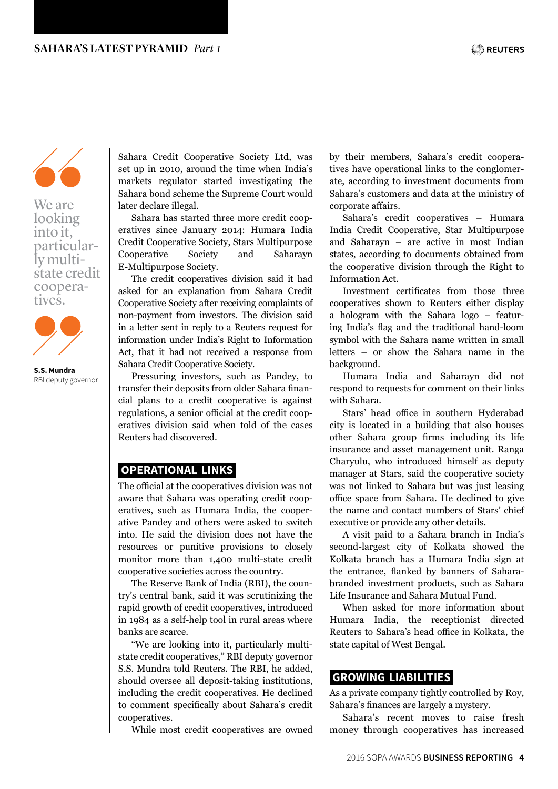

We are looking into it, particular-<br>ly multistate credit coopera- tives.



**S.S. Mundra** RBI deputy governor

Sahara Credit Cooperative Society Ltd, was set up in 2010, around the time when India's markets regulator started investigating the Sahara bond scheme the Supreme Court would later declare illegal.

Sahara has started three more credit cooperatives since January 2014: Humara India Credit Cooperative Society, Stars Multipurpose Cooperative Society and Saharayn E-Multipurpose Society.

The credit cooperatives division said it had asked for an explanation from Sahara Credit Cooperative Society after receiving complaints of non-payment from investors. The division said in a letter sent in reply to a Reuters request for information under India's Right to Information Act, that it had not received a response from Sahara Credit Cooperative Society.

Pressuring investors, such as Pandey, to transfer their deposits from older Sahara financial plans to a credit cooperative is against regulations, a senior official at the credit cooperatives division said when told of the cases Reuters had discovered.

#### **OPERATIONAL LINKS**

The official at the cooperatives division was not aware that Sahara was operating credit cooperatives, such as Humara India, the cooperative Pandey and others were asked to switch into. He said the division does not have the resources or punitive provisions to closely monitor more than 1,400 multi-state credit cooperative societies across the country.

The Reserve Bank of India (RBI), the country's central bank, said it was scrutinizing the rapid growth of credit cooperatives, introduced in 1984 as a self-help tool in rural areas where banks are scarce.

"We are looking into it, particularly multistate credit cooperatives," RBI deputy governor S.S. Mundra told Reuters. The RBI, he added, should oversee all deposit-taking institutions, including the credit cooperatives. He declined to comment specifically about Sahara's credit cooperatives.

While most credit cooperatives are owned

by their members, Sahara's credit cooperatives have operational links to the conglomerate, according to investment documents from Sahara's customers and data at the ministry of corporate affairs.

Sahara's credit cooperatives – Humara India Credit Cooperative, Star Multipurpose and Saharayn – are active in most Indian states, according to documents obtained from the cooperative division through the Right to Information Act.

Investment certificates from those three cooperatives shown to Reuters either display a hologram with the Sahara logo – featuring India's flag and the traditional hand-loom symbol with the Sahara name written in small letters – or show the Sahara name in the background.

Humara India and Saharayn did not respond to requests for comment on their links with Sahara.

Stars' head office in southern Hyderabad city is located in a building that also houses other Sahara group firms including its life insurance and asset management unit. Ranga Charyulu, who introduced himself as deputy manager at Stars, said the cooperative society was not linked to Sahara but was just leasing office space from Sahara. He declined to give the name and contact numbers of Stars' chief executive or provide any other details.

A visit paid to a Sahara branch in India's second-largest city of Kolkata showed the Kolkata branch has a Humara India sign at the entrance, flanked by banners of Saharabranded investment products, such as Sahara Life Insurance and Sahara Mutual Fund.

When asked for more information about Humara India, the receptionist directed Reuters to Sahara's head office in Kolkata, the state capital of West Bengal.

#### **GROWING LIABILITIES**

As a private company tightly controlled by Roy, Sahara's finances are largely a mystery.

Sahara's recent moves to raise fresh money through cooperatives has increased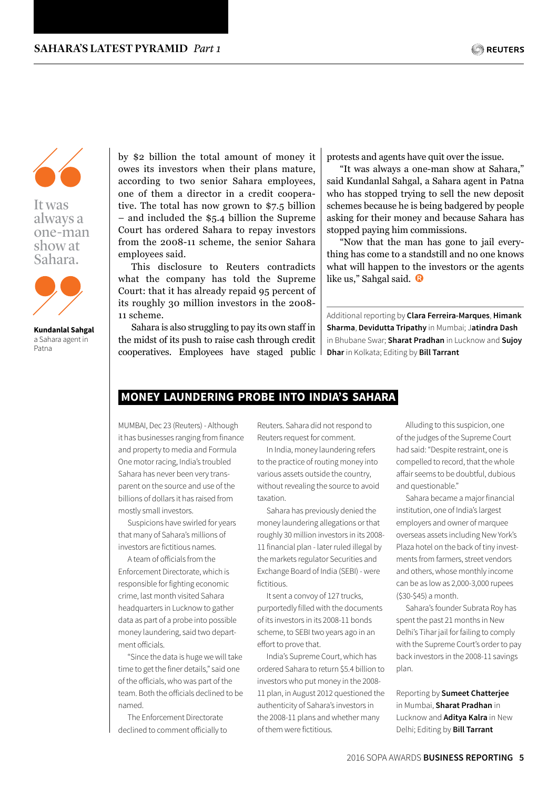

It was always a one-man show at Sahara.



**Kundanlal Sahgal** a Sahara agent in Patna

by \$2 billion the total amount of money it owes its investors when their plans mature, according to two senior Sahara employees, one of them a director in a credit cooperative. The total has now grown to \$7.5 billion – and included the \$5.4 billion the Supreme Court has ordered Sahara to repay investors from the 2008-11 scheme, the senior Sahara employees said.

This disclosure to Reuters contradicts what the company has told the Supreme Court: that it has already repaid 95 percent of its roughly 30 million investors in the 2008- 11 scheme.

Sahara is also struggling to pay its own staff in the midst of its push to raise cash through credit cooperatives. Employees have staged public protests and agents have quit over the issue.

"It was always a one-man show at Sahara," said Kundanlal Sahgal, a Sahara agent in Patna who has stopped trying to sell the new deposit schemes because he is being badgered by people asking for their money and because Sahara has stopped paying him commissions.

"Now that the man has gone to jail everything has come to a standstill and no one knows what will happen to the investors or the agents like us," Sahgal said. <sup>®</sup>

Additional reporting by **Clara Ferreira-Marques**, **Himank Sharma**, **Devidutta Tripathy** in Mumbai; J**atindra Dash** in Bhubane Swar; **Sharat Pradhan** in Lucknow and **Sujoy Dhar** in Kolkata; Editing by **Bill Tarrant**

#### **MONEY LAUNDERING PROBE INTO INDIA'S SAHARA**

MUMBAI, Dec 23 (Reuters) - Although it has businesses ranging from finance and property to media and Formula One motor racing, India's troubled Sahara has never been very transparent on the source and use of the billions of dollars it has raised from mostly small investors.

Suspicions have swirled for years that many of Sahara's millions of investors are fictitious names.

A team of officials from the Enforcement Directorate, which is responsible for fighting economic crime, last month visited Sahara headquarters in Lucknow to gather data as part of a probe into possible money laundering, said two department officials.

"Since the data is huge we will take time to get the finer details," said one of the officials, who was part of the team. Both the officials declined to be named.

The Enforcement Directorate declined to comment officially to Reuters. Sahara did not respond to Reuters request for comment.

In India, money laundering refers to the practice of routing money into various assets outside the country, without revealing the source to avoid taxation.

Sahara has previously denied the money laundering allegations or that roughly 30 million investors in its 2008- 11 financial plan - later ruled illegal by the markets regulator Securities and Exchange Board of India (SEBI) - were fictitious.

It sent a convoy of 127 trucks, purportedly filled with the documents of its investors in its 2008-11 bonds scheme, to SEBI two years ago in an effort to prove that.

India's Supreme Court, which has ordered Sahara to return \$5.4 billion to investors who put money in the 2008- 11 plan, in August 2012 questioned the authenticity of Sahara's investors in the 2008-11 plans and whether many of them were fictitious.

Alluding to this suspicion, one of the judges of the Supreme Court had said: "Despite restraint, one is compelled to record, that the whole affair seems to be doubtful, dubious and questionable."

Sahara became a major financial institution, one of India's largest employers and owner of marquee overseas assets including New York's Plaza hotel on the back of tiny investments from farmers, street vendors and others, whose monthly income can be as low as 2,000-3,000 rupees (\$30-\$45) a month.

Sahara's founder Subrata Roy has spent the past 21 months in New Delhi's Tihar jail for failing to comply with the Supreme Court's order to pay back investors in the 2008-11 savings plan.

Reporting by **Sumeet Chatterjee** in Mumbai, **Sharat Pradhan** in Lucknow and **Aditya Kalra** in New Delhi; Editing by **Bill Tarrant**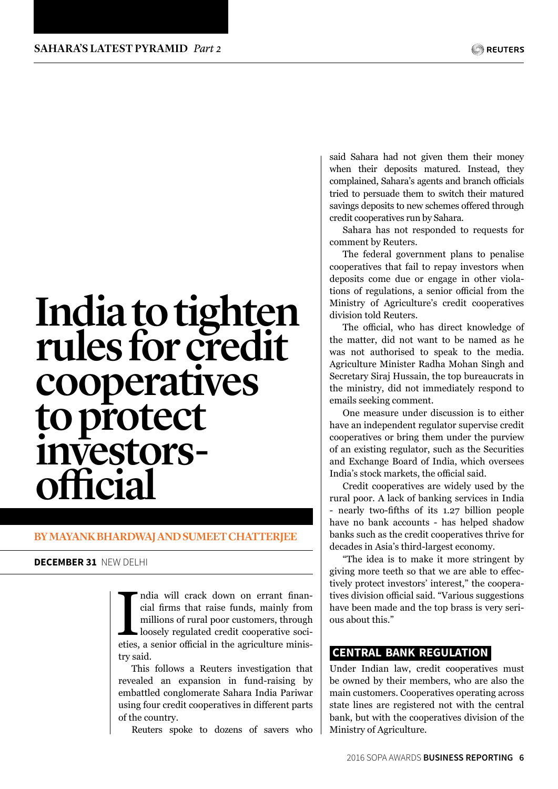# India to tighten rules for credit cooperatives to protect investorsofficial

#### BY MAYANK BHARDWAJ AND SUMEET CHATTERJEE

**DECEMBER 31** NEW DELHI

India will crack down on errant financial firms that raise funds, mainly from millions of rural poor customers, through loosely regulated credit cooperative societies, a senior official in the agriculture minisndia will crack down on errant financial firms that raise funds, mainly from millions of rural poor customers, through loosely regulated credit cooperative socitry said.

This follows a Reuters investigation that revealed an expansion in fund-raising by embattled conglomerate Sahara India Pariwar using four credit cooperatives in different parts of the country.

Reuters spoke to dozens of savers who

said Sahara had not given them their money when their deposits matured. Instead, they complained, Sahara's agents and branch officials tried to persuade them to switch their matured savings deposits to new schemes offered through credit cooperatives run by Sahara.

Sahara has not responded to requests for comment by Reuters.

The federal government plans to penalise cooperatives that fail to repay investors when deposits come due or engage in other violations of regulations, a senior official from the Ministry of Agriculture's credit cooperatives division told Reuters.

The official, who has direct knowledge of the matter, did not want to be named as he was not authorised to speak to the media. Agriculture Minister Radha Mohan Singh and Secretary Siraj Hussain, the top bureaucrats in the ministry, did not immediately respond to emails seeking comment.

One measure under discussion is to either have an independent regulator supervise credit cooperatives or bring them under the purview of an existing regulator, such as the Securities and Exchange Board of India, which oversees India's stock markets, the official said.

Credit cooperatives are widely used by the rural poor. A lack of banking services in India - nearly two-fifths of its 1.27 billion people have no bank accounts - has helped shadow banks such as the credit cooperatives thrive for decades in Asia's third-largest economy.

"The idea is to make it more stringent by giving more teeth so that we are able to effectively protect investors' interest," the cooperatives division official said. "Various suggestions have been made and the top brass is very serious about this."

### **CENTRAL BANK REGULATION**

Under Indian law, credit cooperatives must be owned by their members, who are also the main customers. Cooperatives operating across state lines are registered not with the central bank, but with the cooperatives division of the Ministry of Agriculture.